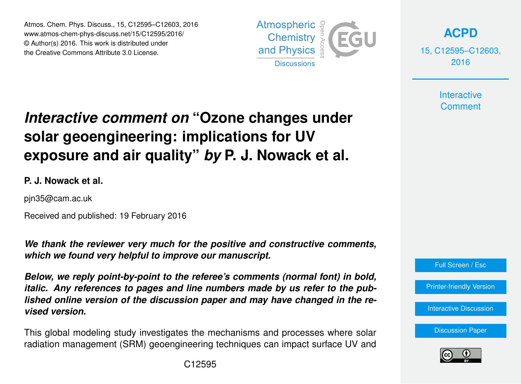Atmos. Chem. Phys. Discuss., 15, C12595–C12603, 2016 www.atmos-chem-phys-discuss.net/15/C12595/2016/ © Author(s) 2016. This work is distributed under the Creative Commons Attribute 3.0 License.



**[ACPD](http://www.atmos-chem-phys-discuss.net)**

15, C12595–C12603, 2016

> **Interactive Comment**

# *Interactive comment on* **"Ozone changes under solar geoengineering: implications for UV exposure and air quality"** *by* **P. J. Nowack et al.**

## **P. J. Nowack et al.**

pjn35@cam.ac.uk

Received and published: 19 February 2016

*We thank the reviewer very much for the positive and constructive comments, which we found very helpful to improve our manuscript.*

*Below, we reply point-by-point to the referee's comments (normal font) in bold, italic. Any references to pages and line numbers made by us refer to the published online version of the discussion paper and may have changed in the revised version.*

This global modeling study investigates the mechanisms and processes where solar radiation management (SRM) geoengineering techniques can impact surface UV and

Full Screen / Esc [Printer-friendly Version](http://www.atmos-chem-phys-discuss.net/15/C12595/2016/acpd-15-C12595-2016-print.pdf) [Interactive Discussion](http://www.atmos-chem-phys-discuss.net/15/31973/2015/acpd-15-31973-2015-discussion.html) [Discussion Paper](http://www.atmos-chem-phys-discuss.net/15/31973/2015/acpd-15-31973-2015.pdf)

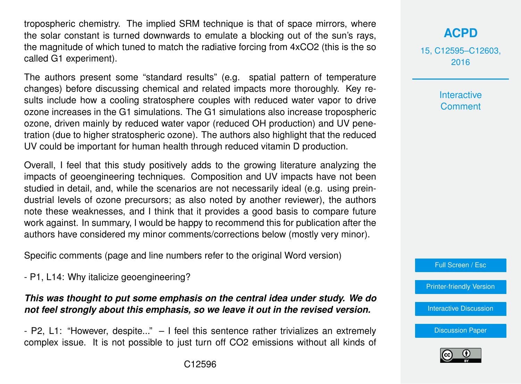tropospheric chemistry. The implied SRM technique is that of space mirrors, where the solar constant is turned downwards to emulate a blocking out of the sun's rays, the magnitude of which tuned to match the radiative forcing from 4xCO2 (this is the so called G1 experiment).

The authors present some "standard results" (e.g. spatial pattern of temperature changes) before discussing chemical and related impacts more thoroughly. Key results include how a cooling stratosphere couples with reduced water vapor to drive ozone increases in the G1 simulations. The G1 simulations also increase tropospheric ozone, driven mainly by reduced water vapor (reduced OH production) and UV penetration (due to higher stratospheric ozone). The authors also highlight that the reduced UV could be important for human health through reduced vitamin D production.

Overall, I feel that this study positively adds to the growing literature analyzing the impacts of geoengineering techniques. Composition and UV impacts have not been studied in detail, and, while the scenarios are not necessarily ideal (e.g. using preindustrial levels of ozone precursors; as also noted by another reviewer), the authors note these weaknesses, and I think that it provides a good basis to compare future work against. In summary, I would be happy to recommend this for publication after the authors have considered my minor comments/corrections below (mostly very minor).

Specific comments (page and line numbers refer to the original Word version)

- P1, L14: Why italicize geoengineering?

#### *This was thought to put some emphasis on the central idea under study. We do not feel strongly about this emphasis, so we leave it out in the revised version.*

- P2, L1: "However, despite..." – I feel this sentence rather trivializes an extremely complex issue. It is not possible to just turn off CO2 emissions without all kinds of

# **[ACPD](http://www.atmos-chem-phys-discuss.net)**

15, C12595–C12603, 2016

> **Interactive Comment**

Full Screen / Esc

[Printer-friendly Version](http://www.atmos-chem-phys-discuss.net/15/C12595/2016/acpd-15-C12595-2016-print.pdf)

[Interactive Discussion](http://www.atmos-chem-phys-discuss.net/15/31973/2015/acpd-15-31973-2015-discussion.html)

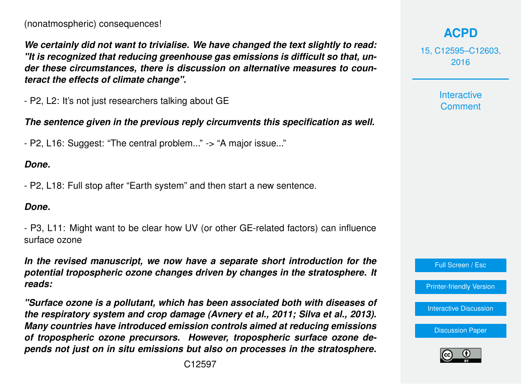*We certainly did not want to trivialise. We have changed the text slightly to read: "It is recognized that reducing greenhouse gas emissions is difficult so that, under these circumstances, there is discussion on alternative measures to counteract the effects of climate change".*

- P2, L2: It's not just researchers talking about GE

*The sentence given in the previous reply circumvents this specification as well.*

- P2, L16: Suggest: "The central problem..." -> "A major issue..."

#### *Done.*

- P2, L18: Full stop after "Earth system" and then start a new sentence.

#### *Done.*

- P3, L11: Might want to be clear how UV (or other GE-related factors) can influence surface ozone

*In the revised manuscript, we now have a separate short introduction for the potential tropospheric ozone changes driven by changes in the stratosphere. It reads:*

*"Surface ozone is a pollutant, which has been associated both with diseases of the respiratory system and crop damage (Avnery et al., 2011; Silva et al., 2013). Many countries have introduced emission controls aimed at reducing emissions of tropospheric ozone precursors. However, tropospheric surface ozone depends not just on in situ emissions but also on processes in the stratosphere.*

15, C12595–C12603, 2016

> Interactive **Comment**



[Printer-friendly Version](http://www.atmos-chem-phys-discuss.net/15/C12595/2016/acpd-15-C12595-2016-print.pdf)

[Interactive Discussion](http://www.atmos-chem-phys-discuss.net/15/31973/2015/acpd-15-31973-2015-discussion.html)

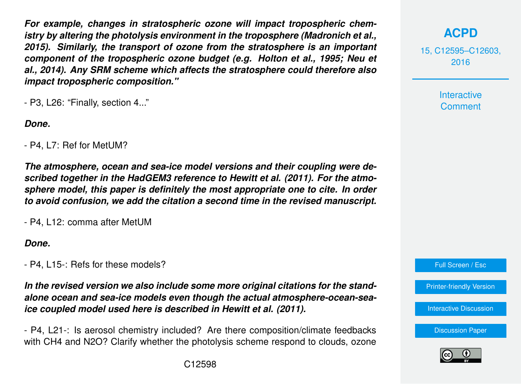*For example, changes in stratospheric ozone will impact tropospheric chemistry by altering the photolysis environment in the troposphere (Madronich et al., 2015). Similarly, the transport of ozone from the stratosphere is an important component of the tropospheric ozone budget (e.g. Holton et al., 1995; Neu et al., 2014). Any SRM scheme which affects the stratosphere could therefore also impact tropospheric composition."*

- P3, L26: "Finally, section 4..."

*Done.*

- P4, L7: Ref for MetUM?

*The atmosphere, ocean and sea-ice model versions and their coupling were described together in the HadGEM3 reference to Hewitt et al. (2011). For the atmosphere model, this paper is definitely the most appropriate one to cite. In order to avoid confusion, we add the citation a second time in the revised manuscript.*

- P4, L12: comma after MetUM

*Done.*

- P4, L15-: Refs for these models?

*In the revised version we also include some more original citations for the standalone ocean and sea-ice models even though the actual atmosphere-ocean-seaice coupled model used here is described in Hewitt et al. (2011).*

- P4, L21-: Is aerosol chemistry included? Are there composition/climate feedbacks with CH4 and N2O? Clarify whether the photolysis scheme respond to clouds, ozone



15, C12595–C12603, 2016

> Interactive **Comment**

Full Screen / Esc

[Printer-friendly Version](http://www.atmos-chem-phys-discuss.net/15/C12595/2016/acpd-15-C12595-2016-print.pdf)

[Interactive Discussion](http://www.atmos-chem-phys-discuss.net/15/31973/2015/acpd-15-31973-2015-discussion.html)

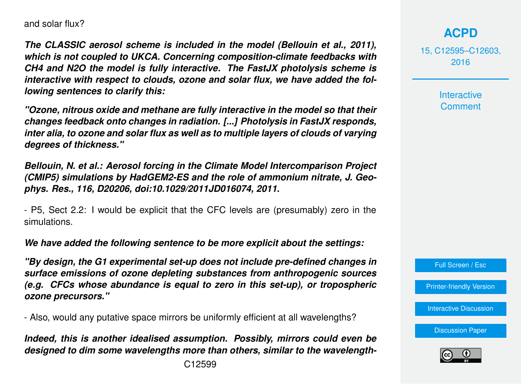and solar flux?

*The CLASSIC aerosol scheme is included in the model (Bellouin et al., 2011), which is not coupled to UKCA. Concerning composition-climate feedbacks with CH4 and N2O the model is fully interactive. The FastJX photolysis scheme is interactive with respect to clouds, ozone and solar flux, we have added the following sentences to clarify this:*

*"Ozone, nitrous oxide and methane are fully interactive in the model so that their changes feedback onto changes in radiation. [...] Photolysis in FastJX responds, inter alia, to ozone and solar flux as well as to multiple layers of clouds of varying degrees of thickness."*

*Bellouin, N. et al.: Aerosol forcing in the Climate Model Intercomparison Project (CMIP5) simulations by HadGEM2-ES and the role of ammonium nitrate, J. Geophys. Res., 116, D20206, doi:10.1029/2011JD016074, 2011.*

- P5, Sect 2.2: I would be explicit that the CFC levels are (presumably) zero in the simulations.

*We have added the following sentence to be more explicit about the settings:*

*"By design, the G1 experimental set-up does not include pre-defined changes in surface emissions of ozone depleting substances from anthropogenic sources (e.g. CFCs whose abundance is equal to zero in this set-up), or tropospheric ozone precursors."*

- Also, would any putative space mirrors be uniformly efficient at all wavelengths?

*Indeed, this is another idealised assumption. Possibly, mirrors could even be designed to dim some wavelengths more than others, similar to the wavelength-*

# **[ACPD](http://www.atmos-chem-phys-discuss.net)**

15, C12595–C12603, 2016

> **Interactive Comment**

Full Screen / Esc

[Printer-friendly Version](http://www.atmos-chem-phys-discuss.net/15/C12595/2016/acpd-15-C12595-2016-print.pdf)

[Interactive Discussion](http://www.atmos-chem-phys-discuss.net/15/31973/2015/acpd-15-31973-2015-discussion.html)

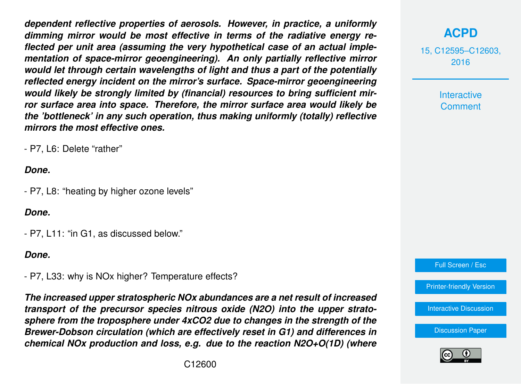*dependent reflective properties of aerosols. However, in practice, a uniformly dimming mirror would be most effective in terms of the radiative energy reflected per unit area (assuming the very hypothetical case of an actual implementation of space-mirror geoengineering). An only partially reflective mirror would let through certain wavelengths of light and thus a part of the potentially reflected energy incident on the mirror's surface. Space-mirror geoengineering would likely be strongly limited by (financial) resources to bring sufficient mirror surface area into space. Therefore, the mirror surface area would likely be the 'bottleneck' in any such operation, thus making uniformly (totally) reflective mirrors the most effective ones.*

- P7, L6: Delete "rather"

#### *Done.*

- P7, L8: "heating by higher ozone levels"

#### *Done.*

- P7, L11: "in G1, as discussed below."

#### *Done.*

- P7, L33: why is NOx higher? Temperature effects?

*The increased upper stratospheric NOx abundances are a net result of increased transport of the precursor species nitrous oxide (N2O) into the upper stratosphere from the troposphere under 4xCO2 due to changes in the strength of the Brewer-Dobson circulation (which are effectively reset in G1) and differences in chemical NOx production and loss, e.g. due to the reaction N2O+O(1D) (where*

## **[ACPD](http://www.atmos-chem-phys-discuss.net)**

15, C12595–C12603, 2016

> Interactive **Comment**

Full Screen / Esc

[Printer-friendly Version](http://www.atmos-chem-phys-discuss.net/15/C12595/2016/acpd-15-C12595-2016-print.pdf)

[Interactive Discussion](http://www.atmos-chem-phys-discuss.net/15/31973/2015/acpd-15-31973-2015-discussion.html)

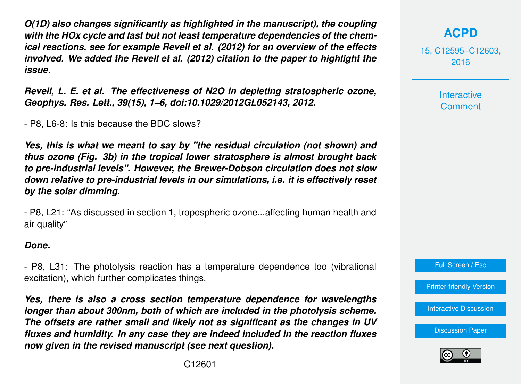*O(1D) also changes significantly as highlighted in the manuscript), the coupling with the HOx cycle and last but not least temperature dependencies of the chemical reactions, see for example Revell et al. (2012) for an overview of the effects involved. We added the Revell et al. (2012) citation to the paper to highlight the issue.*

*Revell, L. E. et al. The effectiveness of N2O in depleting stratospheric ozone, Geophys. Res. Lett., 39(15), 1–6, doi:10.1029/2012GL052143, 2012.*

- P8, L6-8: Is this because the BDC slows?

*Yes, this is what we meant to say by "the residual circulation (not shown) and thus ozone (Fig. 3b) in the tropical lower stratosphere is almost brought back to pre-industrial levels". However, the Brewer-Dobson circulation does not slow down relative to pre-industrial levels in our simulations, i.e. it is effectively reset by the solar dimming.*

- P8, L21: "As discussed in section 1, tropospheric ozone...affecting human health and air quality"

#### *Done.*

- P8, L31: The photolysis reaction has a temperature dependence too (vibrational excitation), which further complicates things.

*Yes, there is also a cross section temperature dependence for wavelengths longer than about 300nm, both of which are included in the photolysis scheme. The offsets are rather small and likely not as significant as the changes in UV fluxes and humidity. In any case they are indeed included in the reaction fluxes now given in the revised manuscript (see next question).*

15, C12595–C12603, 2016

> Interactive **Comment**

Full Screen / Esc

[Printer-friendly Version](http://www.atmos-chem-phys-discuss.net/15/C12595/2016/acpd-15-C12595-2016-print.pdf)

[Interactive Discussion](http://www.atmos-chem-phys-discuss.net/15/31973/2015/acpd-15-31973-2015-discussion.html)

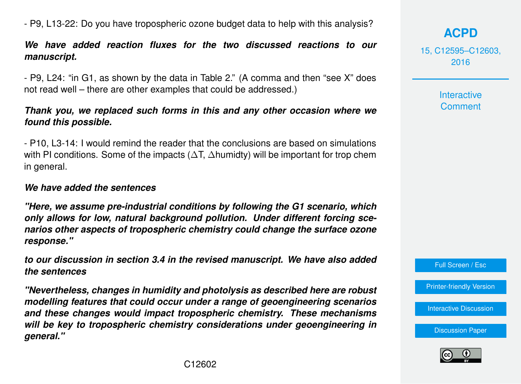- P9, L13-22: Do you have tropospheric ozone budget data to help with this analysis?

### *We have added reaction fluxes for the two discussed reactions to our manuscript.*

- P9, L24: "in G1, as shown by the data in Table 2." (A comma and then "see X" does not read well – there are other examples that could be addressed.)

#### *Thank you, we replaced such forms in this and any other occasion where we found this possible.*

- P10, L3-14: I would remind the reader that the conclusions are based on simulations with PI conditions. Some of the impacts ( $\Delta T$ ,  $\Delta$ humidty) will be important for trop chem in general.

#### *We have added the sentences*

*"Here, we assume pre-industrial conditions by following the G1 scenario, which only allows for low, natural background pollution. Under different forcing scenarios other aspects of tropospheric chemistry could change the surface ozone response."*

*to our discussion in section 3.4 in the revised manuscript. We have also added the sentences*

*"Nevertheless, changes in humidity and photolysis as described here are robust modelling features that could occur under a range of geoengineering scenarios and these changes would impact tropospheric chemistry. These mechanisms will be key to tropospheric chemistry considerations under geoengineering in general."*

15, C12595–C12603, 2016

> **Interactive Comment**

Full Screen / Esc

[Printer-friendly Version](http://www.atmos-chem-phys-discuss.net/15/C12595/2016/acpd-15-C12595-2016-print.pdf)

[Interactive Discussion](http://www.atmos-chem-phys-discuss.net/15/31973/2015/acpd-15-31973-2015-discussion.html)